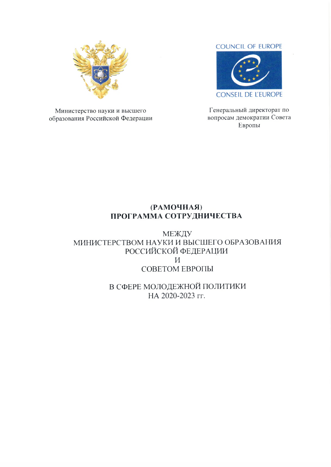

Министерство науки и высшего образования Российской Федерации

#### **COUNCIL OF EUROPE**



Генеральный директорат по вопросам демократии Совета Европы

### (PAMOYHAA) ПРОГРАММА СОТРУДНИЧЕСТВА

МЕЖДУ МИНИСТЕРСТВОМ НАУКИ И ВЫСШЕГО ОБРАЗОВАНИЯ РОССИЙСКОЙ ФЕДЕРАЦИИ  $\boldsymbol{M}$ СОВЕТОМ ЕВРОПЫ

> В СФЕРЕ МОЛОДЕЖНОЙ ПОЛИТИКИ НА 2020-2023 гг.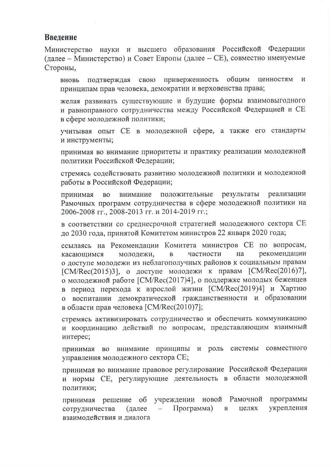### Введение

Министерство науки и высшего образования Российской Федерации (далее - Министерство) и Совет Европы (далее - СЕ), совместно именуемые Стороны,

приверженность общим подтверждая свою ценностям  $\mathbf{M}$ вновь принципам прав человека, демократии и верховенства права;

желая развивать существующие и будущие формы взаимовыгодного и равноправного сотрудничества между Российской Федерацией и СЕ в сфере молодежной политики;

учитывая опыт СЕ в молодежной сфере, а также его стандарты и инструменты;

принимая во внимание приоритеты и практику реализации молодежной политики Российской Федерации;

стремясь содействовать развитию молодежной политики и молодежной работы в Российской Федерации;

положительные результаты реализации внимание принимая **BO** Рамочных программ сотрудничества в сфере молодежной политики на 2006-2008 гг., 2008-2013 гг. и 2014-2019 гг.;

в соответствии со среднесрочной стратегией молодежного сектора СЕ до 2030 года, принятой Комитетом министров 22 января 2020 года;

ссылаясь на Рекомендации Комитета министров СЕ по вопросам, частности рекомендации молодежи,  $\mathbf{B}$ на касающимся о доступе молодежи из неблагополучных районов к социальным правам [CM/Rec(2015)3], о доступе молодежи к правам [CM/Rec(2016)7], о молодежной работе [CM/Rec(2017)4], о поддержке молодых беженцев в период перехода к взрослой жизни [СМ/Rec(2019)4] и Хартию о воспитании демократической гражданственности и образовании в области прав человека [CM/Rec(2010)7];

стремясь активизировать сотрудничество и обеспечить коммуникацию и координацию действий по вопросам, представляющим взаимный интерес;

принимая во внимание принципы и роль системы совместного управления молодежного сектора СЕ;

принимая во внимание правовое регулирование Российской Федерации и нормы СЕ, регулирующие деятельность в области молодежной политики;

учреждении новой Рамочной программы решение об принимая укрепления сотрудничества Программа) целях (далее  $\, {\bf B}$  $\overline{\phantom{m}}$ взаимодействия и диалога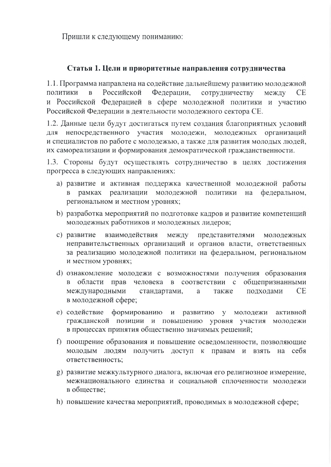Пришли к следующему пониманию:

### Статья 1. Цели и приоритетные направления сотрудничества

1.1. Программа направлена на содействие дальнейшему развитию молодежной политики Российской Федерации, сотрудничеству  $\mathbf{B}$ между **CE** и Российской Федерацией в сфере молодежной политики и участию Российской Федерации в деятельности молодежного сектора СЕ.

1.2. Данные цели будут достигаться путем создания благоприятных условий непосредственного участия молодежи, молодежных организаций ПЛЯ и специалистов по работе с молодежью, а также для развития молодых людей, их самореализации и формирования демократической гражданственности.

1.3. Стороны будут осуществлять сотрудничество в целях достижения прогресса в следующих направлениях:

- а) развитие и активная поддержка качественной молодежной работы в рамках реализации молодежной политики на федеральном, региональном и местном уровнях;
- b) разработка мероприятий по подготовке кадров и развитие компетенций молодежных работников и молодежных лидеров;
- взаимодействия между представителями с) развитие молодежных неправительственных организаций и органов власти, ответственных за реализацию молодежной политики на федеральном, региональном и местном уровнях;
- d) ознакомление молодежи с возможностями получения образования в области прав человека в соответствии с общепризнанными **CE** международными стандартами, a также подходами в молодежной сфере;
- е) содействие формированию и развитию у молодежи активной гражданской позиции и повышению уровня участия молодежи в процессах принятия общественно значимых решений;
- f) поощрение образования и повышение осведомленности, позволяющие молодым людям получить доступ к правам и взять на себя ответственность:
- g) развитие межкультурного диалога, включая его религиозное измерение, межнационального единства и социальной сплоченности молодежи в обществе:
- h) повышение качества мероприятий, проводимых в молодежной сфере;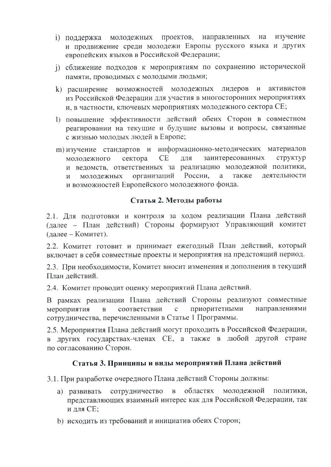- направленных изучение і) поддержка молодежных проектов, на и продвижение среди молодежи Европы русского языка и других европейских языков в Российской Федерации;
- ј) сближение подходов к мероприятиям по сохранению исторической памяти, проводимых с молодыми людьми;
- k) расширение возможностей молодежных лидеров и активистов из Российской Федерации для участия в многосторонних мероприятиях и. в частности, ключевых мероприятиях молодежного сектора СЕ;
- 1) повышение эффективности действий обеих Сторон в совместном реагировании на текущие и будущие вызовы и вопросы, связанные с жизнью молодых людей в Европе;
- информационно-методических материалов m) изучение стандартов и **CE** ДЛЯ заинтересованных структур молодежного сектора и ведомств, ответственных за реализацию молодежной политики, организаций России. также леятельности <sub>a</sub> молодежных  $\overline{M}$ и возможностей Европейского молодежного фонда.

### Статья 2. Методы работы

2.1. Для подготовки и контроля за ходом реализации Плана действий (далее - План действий) Стороны формируют Управляющий комитет (лалее – Комитет).

2.2. Комитет готовит и принимает ежегодный План действий, который включает в себя совместные проекты и мероприятия на предстоящий период.

2.3. При необходимости, Комитет вносит изменения и дополнения в текущий План действий.

2.4. Комитет проводит оценку мероприятий Плана действий.

В рамках реализации Плана действий Стороны реализуют совместные приоритетными направлениями мероприятия  $\overline{B}$ соответствии  $\mathsf{C}$ сотрудничества, перечисленными в Статье 1 Программы.

2.5. Мероприятия Плана действий могут проходить в Российской Федерации, в других государствах-членах СЕ, а также в любой другой стране по согласованию Сторон.

### Статья 3. Принципы и виды мероприятий Плана действий

3.1. При разработке очередного Плана действий Стороны должны:

- а) развивать сотрудничество  $\mathbf{B}$ областях молодежной политики, представляющих взаимный интерес как для Российской Федерации, так и для СЕ;
- b) исходить из требований и инициатив обеих Сторон;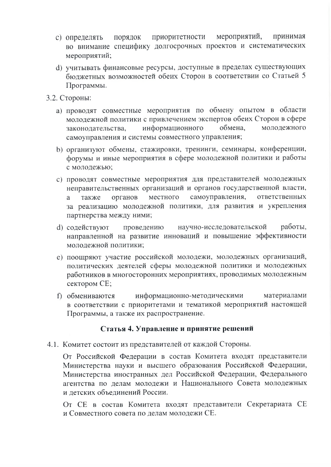- мероприятий, приоритетности принимая с) определять ПОРЯДОК во внимание специфику долгосрочных проектов и систематических мероприятий;
- d) учитывать финансовые ресурсы, доступные в пределах существующих бюлжетных возможностей обеих Сторон в соответствии со Статьей 5 Программы.
- 3.2. Стороны:
	- а) проводят совместные мероприятия по обмену опытом в области молодежной политики с привлечением экспертов обеих Сторон в сфере информационного обмена. молодежного законодательства, самоуправления и системы совместного управления;
	- b) организуют обмены, стажировки, тренинги, семинары, конференции, форумы и иные мероприятия в сфере молодежной политики и работы с молодежью;
	- с) проводят совместные мероприятия для представителей молодежных неправительственных организаций и органов государственной власти, местного самоуправления, ответственных также органов a за реализацию молодежной политики, для развития и укрепления партнерства между ними;
	- d) содействуют проведению научно-исследовательской работы, направленной на развитие инноваций и повышение эффективности молодежной политики;
	- е) поощряют участие российской молодежи, молодежных организаций, политических деятелей сферы молодежной политики и молодежных работников в многосторонних мероприятиях, проводимых молодежным сектором СЕ;
	- f) обмениваются информационно-методическими материалами в соответствии с приоритетами и тематикой мероприятий настоящей Программы, а также их распространение.

### Статья 4. Управление и принятие решений

4.1. Комитет состоит из представителей от каждой Стороны.

От Российской Федерации в состав Комитета входят представители Министерства науки и высшего образования Российской Федерации, Министерства иностранных дел Российской Федерации, Федерального агентства по делам молодежи и Национального Совета молодежных и детских объединений России.

От СЕ в состав Комитета входят представители Секретариата СЕ и Совместного совета по делам молодежи СЕ.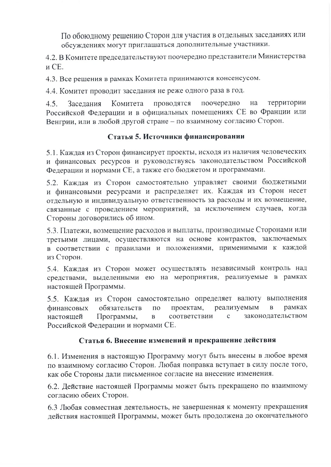По обоюдному решению Сторон для участия в отдельных заседаниях или обсуждениях могут приглашаться дополнительные участники.

4.2. В Комитете председательствуют поочередно представители Министерства и СЕ.

4.3. Все решения в рамках Комитета принимаются консенсусом.

4.4. Комитет проводит заседания не реже одного раза в год.

Комитета поочередно на территории  $4.5.$ Заседания проводятся Российской Федерации и в официальных помещениях СЕ во Франции или Венгрии, или в любой другой стране - по взаимному согласию Сторон.

# Статья 5. Источники финансировании

5.1. Каждая из Сторон финансирует проекты, исходя из наличия человеческих и финансовых ресурсов и руководствуясь законодательством Российской Федерации и нормами СЕ, а также его бюджетом и программами.

5.2. Каждая из Сторон самостоятельно управляет своими бюджетными и финансовыми ресурсами и распределяет их. Каждая из Сторон несет отдельную и индивидуальную ответственность за расходы и их возмещение, связанные с проведением мероприятий, за исключением случаев, когда Стороны договорились об ином.

5.3. Платежи, возмещение расходов и выплаты, производимые Сторонами или третьими лицами, осуществляются на основе контрактов, заключаемых в соответствии с правилами и положениями, применимыми к каждой из Сторон.

5.4. Каждая из Сторон может осуществлять независимый контроль над средствами, выделенными ею на мероприятия, реализуемые в рамках настоящей Программы.

5.5. Каждая из Сторон самостоятельно определяет валюту выполнения финансовых обязательств ПО проектам, реализуемым  $\mathbf B$ рамках соответствии  $\mathbf{C}$ законодательством настоящей Программы,  $\mathbf{B}$ Российской Федерации и нормами СЕ.

# Статья 6. Внесение изменений и прекращение действия

6.1. Изменения в настоящую Программу могут быть внесены в любое время по взаимному согласию Сторон. Любая поправка вступает в силу после того, как обе Стороны дали письменное согласие на внесение изменения.

6.2. Действие настоящей Программы может быть прекращено по взаимному согласию обеих Сторон.

6.3 Любая совместная деятельность, не завершенная к моменту прекращения действия настоящей Программы, может быть продолжена до окончательного